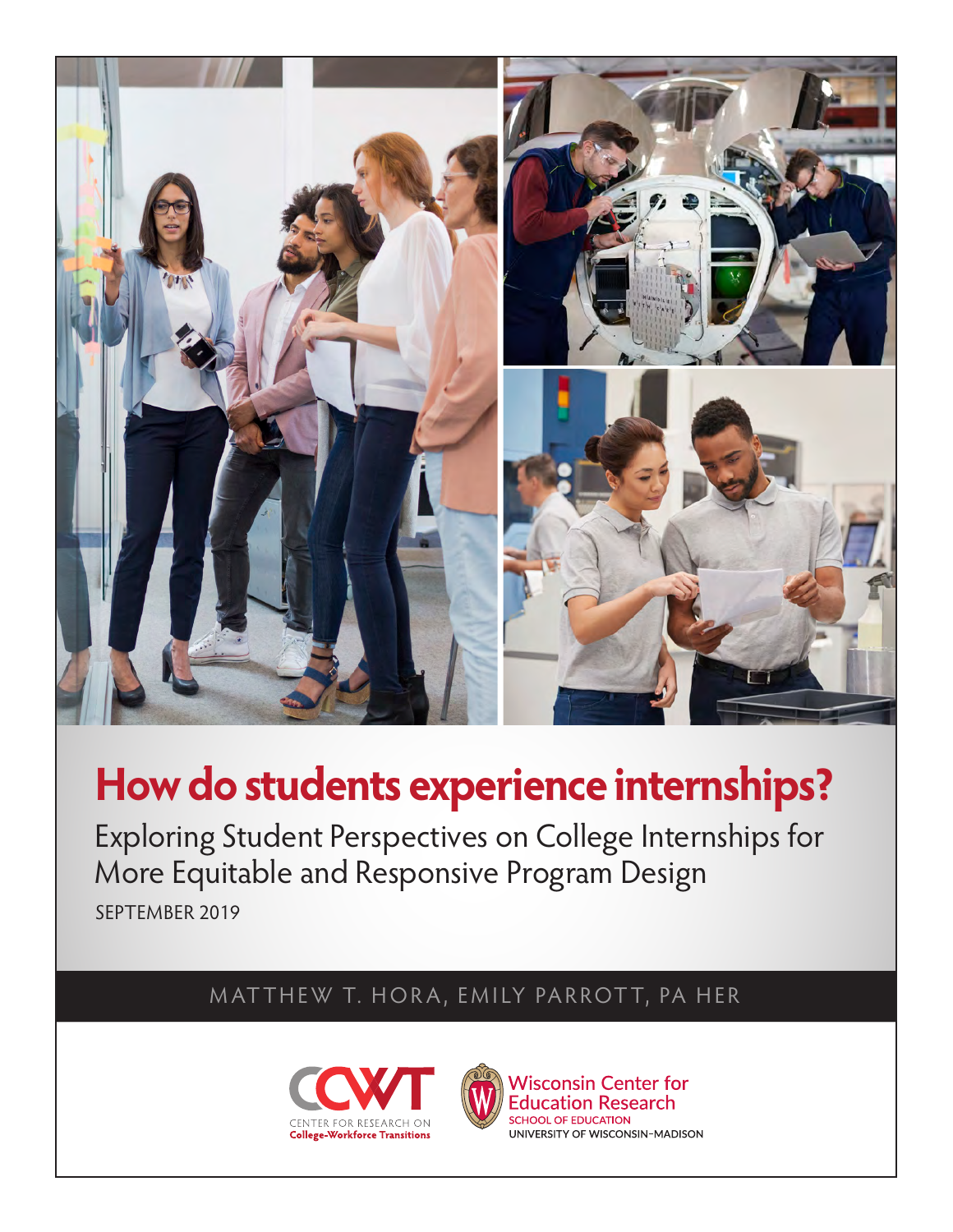

# **How do students experience internships?**

Exploring Student Perspectives on College Internships for More Equitable and Responsive Program Design SEPTEMBER 2019

# MATTHEW T. HORA, EMILY PARROTT, PA HER



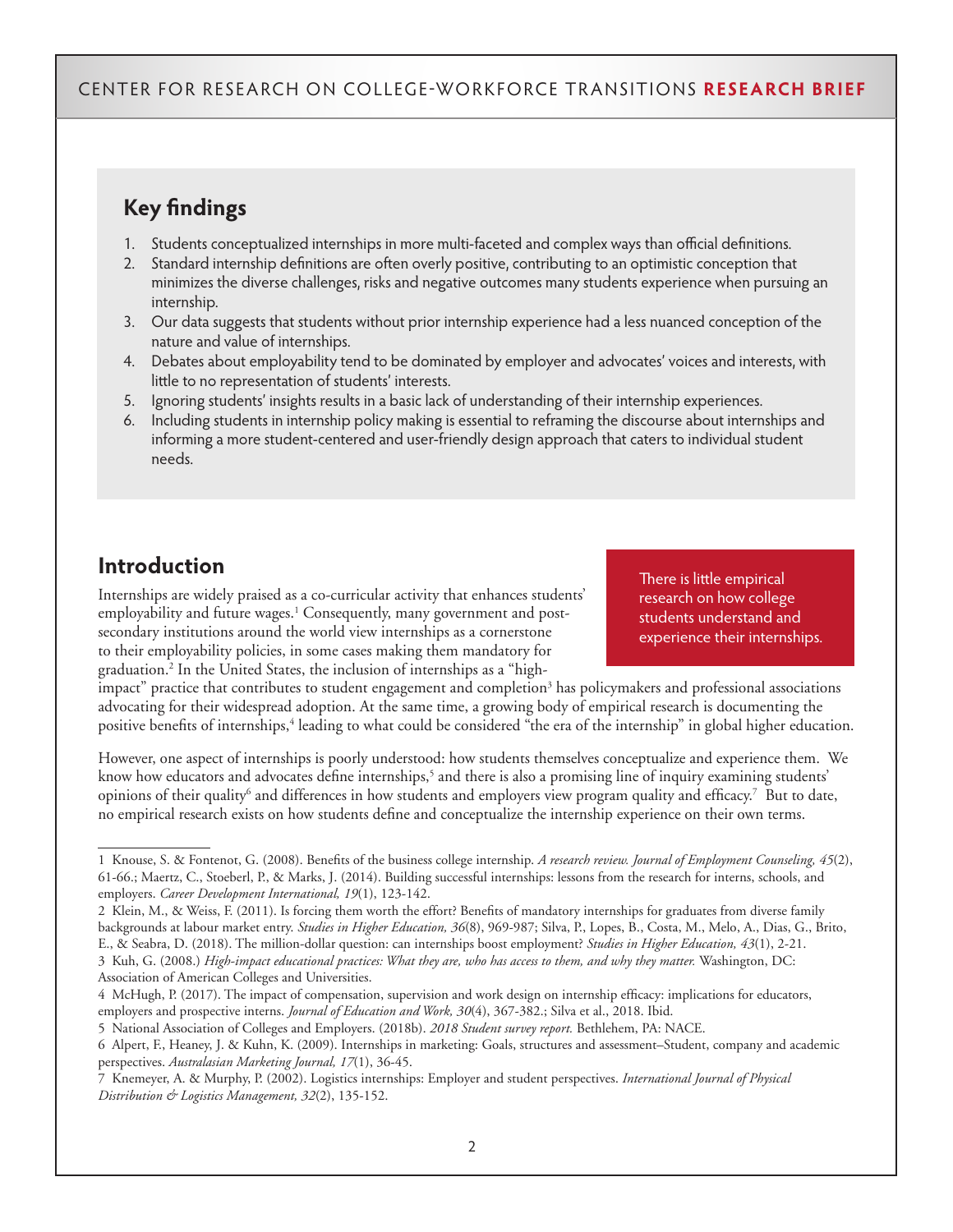# **Key findings**

- 1. Students conceptualized internships in more multi-faceted and complex ways than official definitions.
- 2. Standard internship definitions are often overly positive, contributing to an optimistic conception that minimizes the diverse challenges, risks and negative outcomes many students experience when pursuing an internship.
- 3. Our data suggests that students without prior internship experience had a less nuanced conception of the nature and value of internships.
- 4. Debates about employability tend to be dominated by employer and advocates' voices and interests, with little to no representation of students' interests.
- 5. Ignoring students' insights results in a basic lack of understanding of their internship experiences.
- 6. Including students in internship policy making is essential to reframing the discourse about internships and informing a more student-centered and user-friendly design approach that caters to individual student needs.

# **Introduction**

Internships are widely praised as a co-curricular activity that enhances students' employability and future wages.<sup>1</sup> Consequently, many government and postsecondary institutions around the world view internships as a cornerstone to their employability policies, in some cases making them mandatory for graduation.2 In the United States, the inclusion of internships as a "highThere is little empirical research on how college students understand and experience their internships.

impact" practice that contributes to student engagement and completion<sup>3</sup> has policymakers and professional associations advocating for their widespread adoption. At the same time, a growing body of empirical research is documenting the positive benefits of internships,<sup>4</sup> leading to what could be considered "the era of the internship" in global higher education.

However, one aspect of internships is poorly understood: how students themselves conceptualize and experience them. We know how educators and advocates define internships,<sup>5</sup> and there is also a promising line of inquiry examining students' opinions of their quality<sup>6</sup> and differences in how students and employers view program quality and efficacy.<sup>7</sup> But to date, no empirical research exists on how students define and conceptualize the internship experience on their own terms.

Association of American Colleges and Universities.

<sup>1</sup> Knouse, S. & Fontenot, G. (2008). Benefits of the business college internship. *A research review. Journal of Employment Counseling, 45*(2), 61-66.; Maertz, C., Stoeberl, P., & Marks, J. (2014). Building successful internships: lessons from the research for interns, schools, and employers. *Career Development International, 19*(1), 123-142.

<sup>2</sup> Klein, M., & Weiss, F. (2011). Is forcing them worth the effort? Benefits of mandatory internships for graduates from diverse family backgrounds at labour market entry. *Studies in Higher Education, 36*(8), 969-987; Silva, P., Lopes, B., Costa, M., Melo, A., Dias, G., Brito, E., & Seabra, D. (2018). The million-dollar question: can internships boost employment? *Studies in Higher Education, 43*(1), 2-21. 3 Kuh, G. (2008.) *High-impact educational practices: What they are, who has access to them, and why they matter.* Washington, DC:

<sup>4</sup> McHugh, P. (2017). The impact of compensation, supervision and work design on internship efficacy: implications for educators, employers and prospective interns. *Journal of Education and Work, 30*(4), 367-382.; Silva et al., 2018. Ibid.

<sup>5</sup> National Association of Colleges and Employers. (2018b). *2018 Student survey report.* Bethlehem, PA: NACE.

<sup>6</sup> Alpert, F., Heaney, J. & Kuhn, K. (2009). Internships in marketing: Goals, structures and assessment–Student, company and academic perspectives. *Australasian Marketing Journal, 17*(1), 36-45.

<sup>7</sup> Knemeyer, A. & Murphy, P. (2002). Logistics internships: Employer and student perspectives. *International Journal of Physical Distribution & Logistics Management, 32*(2), 135-152.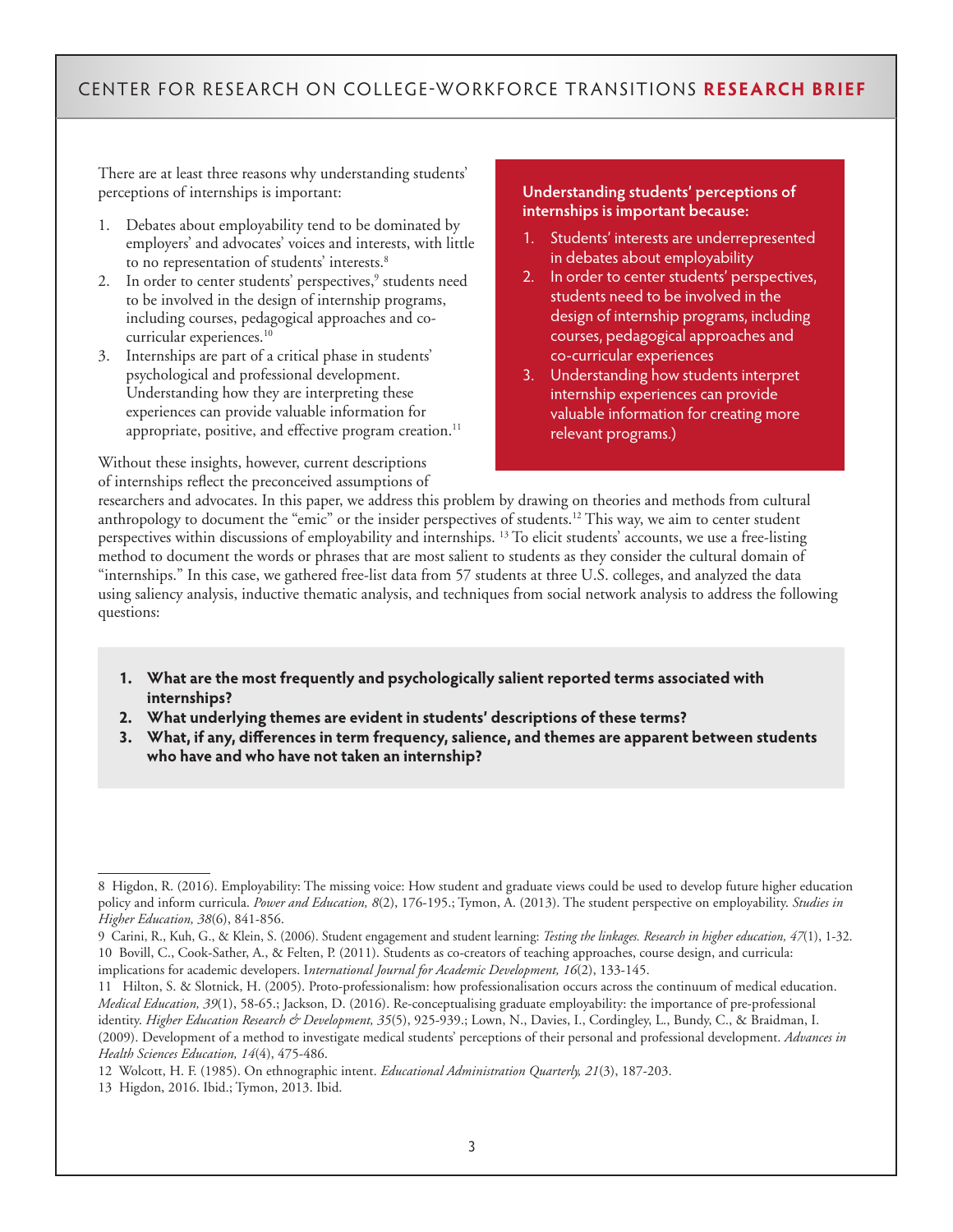There are at least three reasons why understanding students' perceptions of internships is important:

- 1. Debates about employability tend to be dominated by employers' and advocates' voices and interests, with little to no representation of students' interests.<sup>8</sup>
- 2. In order to center students' perspectives,<sup>9</sup> students need to be involved in the design of internship programs, including courses, pedagogical approaches and cocurricular experiences.<sup>10</sup>
- 3. Internships are part of a critical phase in students' psychological and professional development. Understanding how they are interpreting these experiences can provide valuable information for appropriate, positive, and effective program creation.<sup>11</sup>

Without these insights, however, current descriptions of internships reflect the preconceived assumptions of

#### **Understanding students' perceptions of internships is important because:**

- 1. Students' interests are underrepresented in debates about employability
- 2. In order to center students' perspectives, students need to be involved in the design of internship programs, including courses, pedagogical approaches and co-curricular experiences
- 3. Understanding how students interpret internship experiences can provide valuable information for creating more relevant programs.)

researchers and advocates. In this paper, we address this problem by drawing on theories and methods from cultural anthropology to document the "emic" or the insider perspectives of students.<sup>12</sup> This way, we aim to center student perspectives within discussions of employability and internships. 13 To elicit students' accounts, we use a free-listing method to document the words or phrases that are most salient to students as they consider the cultural domain of "internships." In this case, we gathered free-list data from 57 students at three U.S. colleges, and analyzed the data using saliency analysis, inductive thematic analysis, and techniques from social network analysis to address the following questions:

- **1. What are the most frequently and psychologically salient reported terms associated with internships?**
- **2. What underlying themes are evident in students' descriptions of these terms?**
- **3. What, if any, differences in term frequency, salience, and themes are apparent between students who have and who have not taken an internship?**

<sup>8</sup> Higdon, R. (2016). Employability: The missing voice: How student and graduate views could be used to develop future higher education policy and inform curricula. *Power and Education, 8*(2), 176-195.; Tymon, A. (2013). The student perspective on employability. *Studies in Higher Education, 38*(6), 841-856.

<sup>9</sup> Carini, R., Kuh, G., & Klein, S. (2006). Student engagement and student learning: *Testing the linkages. Research in higher education, 47*(1), 1-32. 10 Bovill, C., Cook-Sather, A., & Felten, P. (2011). Students as co-creators of teaching approaches, course design, and curricula: implications for academic developers. I*nternational Journal for Academic Development, 16*(2), 133-145.

<sup>11</sup> Hilton, S. & Slotnick, H. (2005). Proto-professionalism: how professionalisation occurs across the continuum of medical education. *Medical Education, 39*(1), 58-65.; Jackson, D. (2016). Re-conceptualising graduate employability: the importance of pre-professional identity. *Higher Education Research & Development, 35*(5), 925-939.; Lown, N., Davies, I., Cordingley, L., Bundy, C., & Braidman, I. (2009). Development of a method to investigate medical students' perceptions of their personal and professional development. *Advances in Health Sciences Education, 14*(4), 475-486.

<sup>12</sup> Wolcott, H. F. (1985). On ethnographic intent. *Educational Administration Quarterly, 21*(3), 187-203.

<sup>13</sup> Higdon, 2016. Ibid.; Tymon, 2013. Ibid.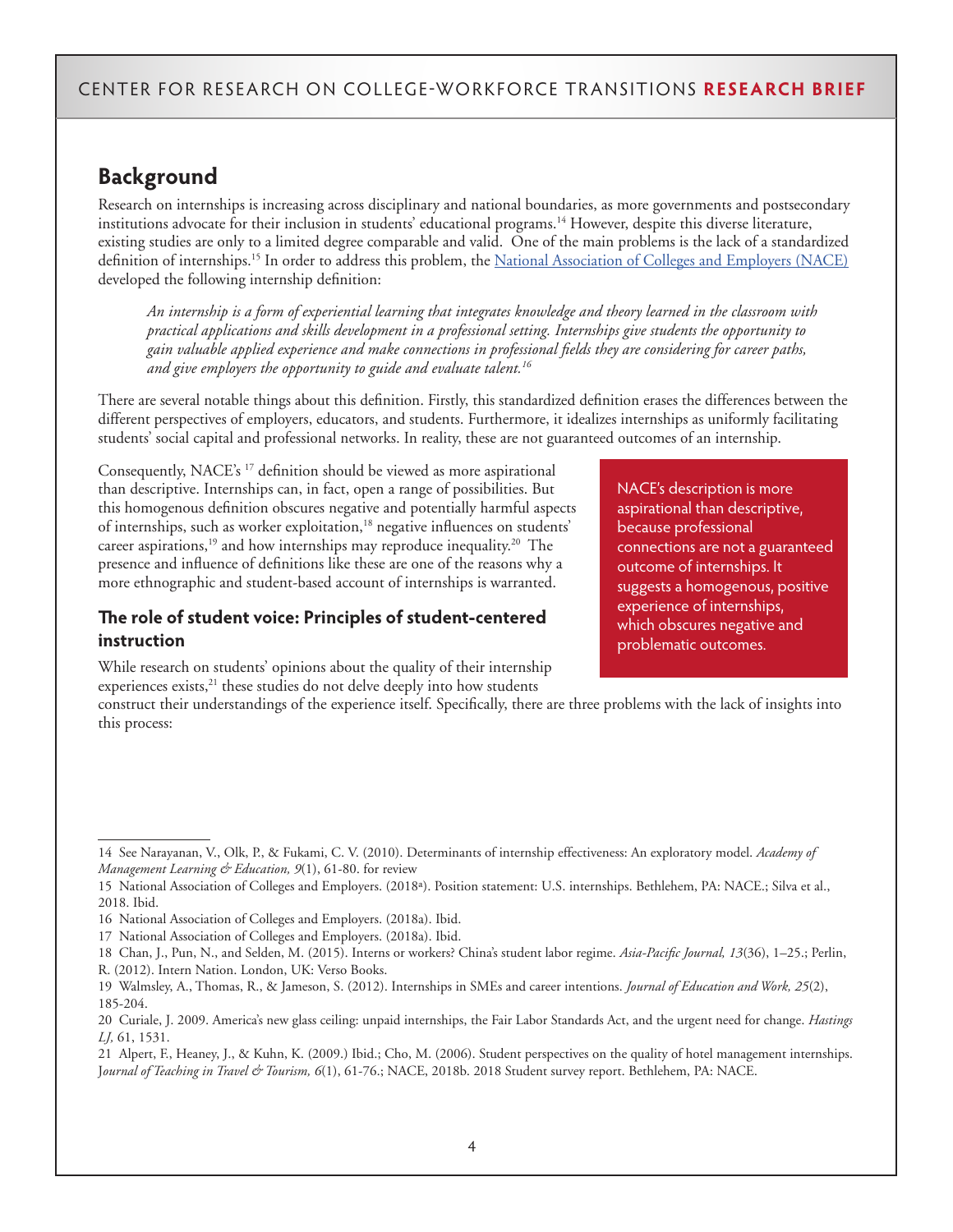# **Background**

Research on internships is increasing across disciplinary and national boundaries, as more governments and postsecondary institutions advocate for their inclusion in students' educational programs.14 However, despite this diverse literature, existing studies are only to a limited degree comparable and valid. One of the main problems is the lack of a standardized definition of internships.<sup>15</sup> In order to address this problem, the National Association of Colleges and Employers (NACE) developed the following internship definition:

*An internship is a form of experiential learning that integrates knowledge and theory learned in the classroom with practical applications and skills development in a professional setting. Internships give students the opportunity to gain valuable applied experience and make connections in professional fields they are considering for career paths, and give employers the opportunity to guide and evaluate talent.16*

There are several notable things about this definition. Firstly, this standardized definition erases the differences between the different perspectives of employers, educators, and students. Furthermore, it idealizes internships as uniformly facilitating students' social capital and professional networks. In reality, these are not guaranteed outcomes of an internship.

Consequently, NACE's 17 definition should be viewed as more aspirational than descriptive. Internships can, in fact, open a range of possibilities. But this homogenous definition obscures negative and potentially harmful aspects of internships, such as worker exploitation,<sup>18</sup> negative influences on students' career aspirations,<sup>19</sup> and how internships may reproduce inequality.<sup>20</sup> The presence and influence of definitions like these are one of the reasons why a more ethnographic and student-based account of internships is warranted.

### **The role of student voice: Principles of student-centered instruction**

NACE's description is more aspirational than descriptive, because professional connections are not a guaranteed outcome of internships. It suggests a homogenous, positive experience of internships, which obscures negative and problematic outcomes.

While research on students' opinions about the quality of their internship experiences exists,<sup>21</sup> these studies do not delve deeply into how students

construct their understandings of the experience itself. Specifically, there are three problems with the lack of insights into this process:

<sup>14</sup> See Narayanan, V., Olk, P., & Fukami, C. V. (2010). Determinants of internship effectiveness: An exploratory model. *Academy of Management Learning & Education, 9*(1), 61-80. for review

<sup>15</sup> National Association of Colleges and Employers. (2018ª). Position statement: U.S. internships. Bethlehem, PA: NACE.; Silva et al., 2018. Ibid.

<sup>16</sup> National Association of Colleges and Employers. (2018a). Ibid.

<sup>17</sup> National Association of Colleges and Employers. (2018a). Ibid.

<sup>18</sup> Chan, J., Pun, N., and Selden, M. (2015). Interns or workers? China's student labor regime. *Asia-Pacific Journal, 13*(36), 1–25.; Perlin, R. (2012). Intern Nation. London, UK: Verso Books.

<sup>19</sup> Walmsley, A., Thomas, R., & Jameson, S. (2012). Internships in SMEs and career intentions. *Journal of Education and Work, 25*(2), 185-204.

<sup>20</sup> Curiale, J. 2009. America's new glass ceiling: unpaid internships, the Fair Labor Standards Act, and the urgent need for change. *Hastings LJ,* 61, 1531.

<sup>21</sup> Alpert, F., Heaney, J., & Kuhn, K. (2009.) Ibid.; Cho, M. (2006). Student perspectives on the quality of hotel management internships. J*ournal of Teaching in Travel & Tourism, 6*(1), 61-76.; NACE, 2018b. 2018 Student survey report. Bethlehem, PA: NACE.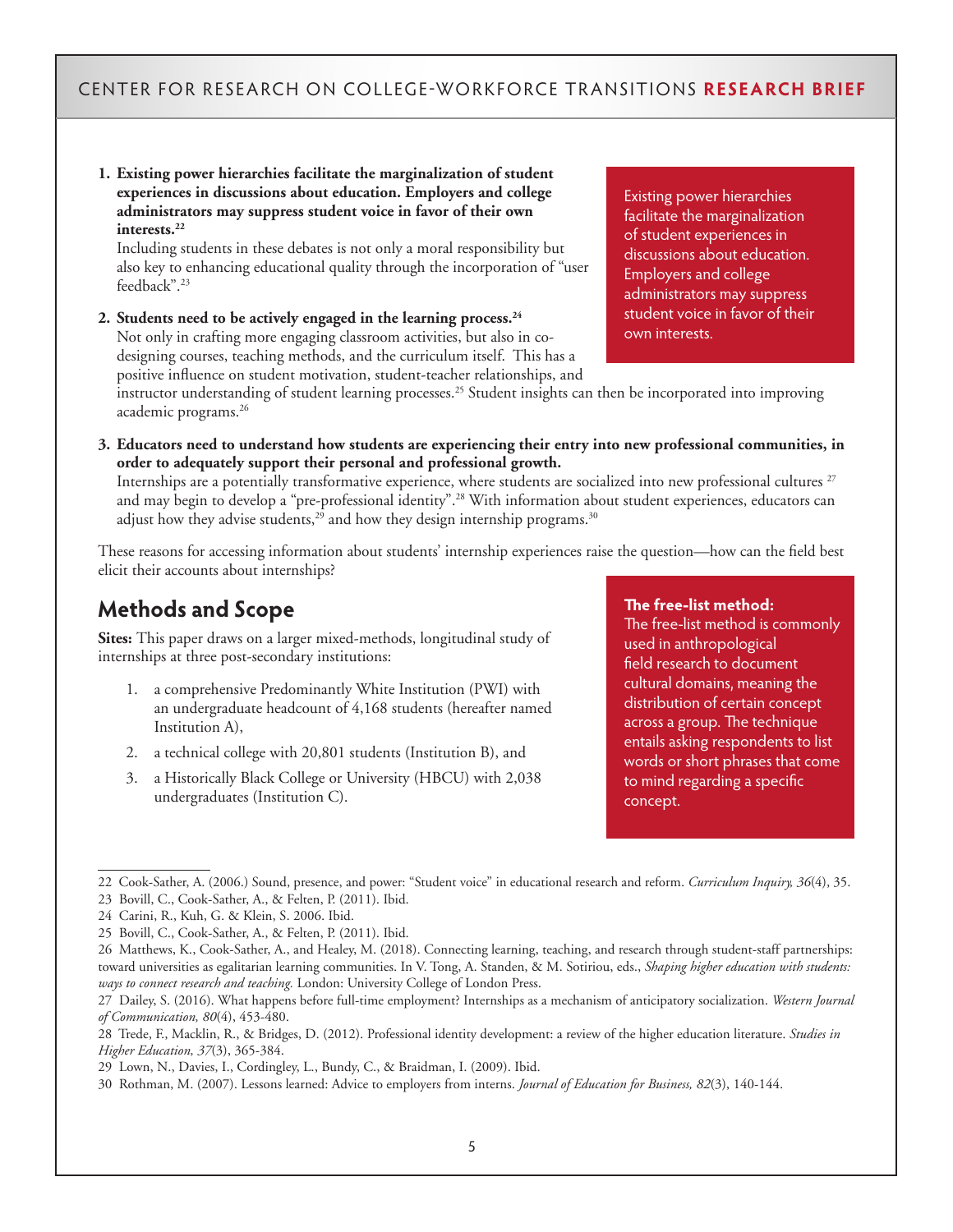**1. Existing power hierarchies facilitate the marginalization of student experiences in discussions about education. Employers and college administrators may suppress student voice in favor of their own interests.22**

Including students in these debates is not only a moral responsibility but also key to enhancing educational quality through the incorporation of "user feedback".23

**2. Students need to be actively engaged in the learning process.24**  Not only in crafting more engaging classroom activities, but also in codesigning courses, teaching methods, and the curriculum itself. This has a positive influence on student motivation, student-teacher relationships, and

Existing power hierarchies facilitate the marginalization of student experiences in discussions about education. Employers and college administrators may suppress student voice in favor of their own interests.

instructor understanding of student learning processes.<sup>25</sup> Student insights can then be incorporated into improving academic programs.26

**3. Educators need to understand how students are experiencing their entry into new professional communities, in order to adequately support their personal and professional growth.** 

Internships are a potentially transformative experience, where students are socialized into new professional cultures<sup>27</sup> and may begin to develop a "pre-professional identity".<sup>28</sup> With information about student experiences, educators can adjust how they advise students, $^{29}$  and how they design internship programs. $^{30}$ 

These reasons for accessing information about students' internship experiences raise the question—how can the field best elicit their accounts about internships?

# **Methods and Scope**

**Sites:** This paper draws on a larger mixed-methods, longitudinal study of internships at three post-secondary institutions:

- 1. a comprehensive Predominantly White Institution (PWI) with an undergraduate headcount of 4,168 students (hereafter named Institution A),
- 2. a technical college with 20,801 students (Institution B), and
- 3. a Historically Black College or University (HBCU) with 2,038 undergraduates (Institution C).

#### **The free-list method:**

The free-list method is commonly used in anthropological field research to document cultural domains, meaning the distribution of certain concept across a group. The technique entails asking respondents to list words or short phrases that come to mind regarding a specific concept.

23 Bovill, C., Cook-Sather, A., & Felten, P. (2011). Ibid.

<sup>22</sup> Cook-Sather, A. (2006.) Sound, presence, and power: "Student voice" in educational research and reform. *Curriculum Inquiry, 36*(4), 35.

<sup>24</sup> Carini, R., Kuh, G. & Klein, S. 2006. Ibid.

<sup>25</sup> Bovill, C., Cook-Sather, A., & Felten, P. (2011). Ibid.

<sup>26</sup> Matthews, K., Cook-Sather, A., and Healey, M. (2018). Connecting learning, teaching, and research through student-staff partnerships: toward universities as egalitarian learning communities. In V. Tong, A. Standen, & M. Sotiriou, eds., *Shaping higher education with students: ways to connect research and teaching.* London: University College of London Press.

<sup>27</sup> Dailey, S. (2016). What happens before full-time employment? Internships as a mechanism of anticipatory socialization. *Western Journal of Communication, 80*(4), 453-480.

<sup>28</sup> Trede, F., Macklin, R., & Bridges, D. (2012). Professional identity development: a review of the higher education literature. *Studies in Higher Education, 37*(3), 365-384.

<sup>29</sup> Lown, N., Davies, I., Cordingley, L., Bundy, C., & Braidman, I. (2009). Ibid.

<sup>30</sup> Rothman, M. (2007). Lessons learned: Advice to employers from interns. *Journal of Education for Business, 82*(3), 140-144.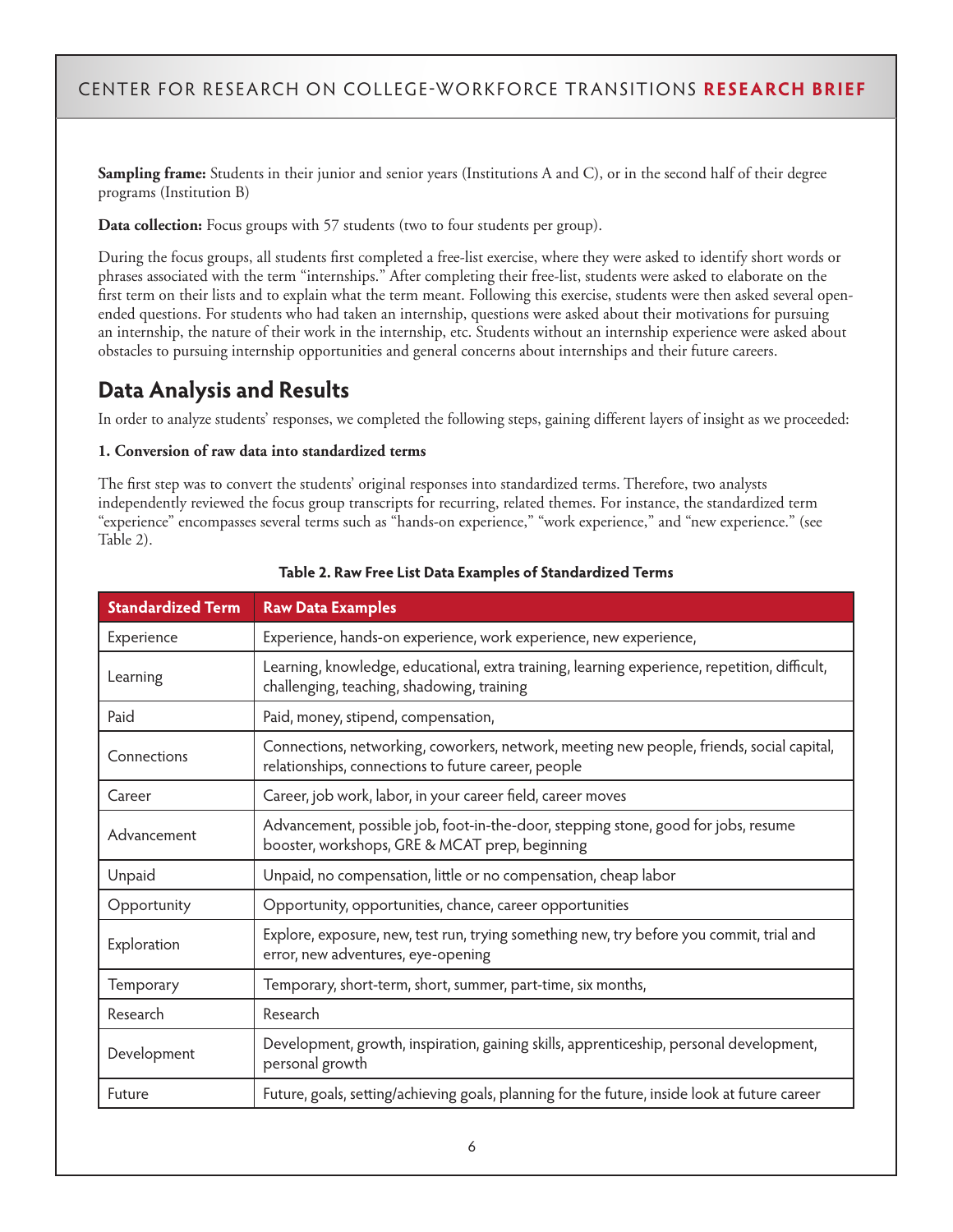**Sampling frame:** Students in their junior and senior years (Institutions A and C), or in the second half of their degree programs (Institution B)

**Data collection:** Focus groups with 57 students (two to four students per group).

During the focus groups, all students first completed a free-list exercise, where they were asked to identify short words or phrases associated with the term "internships." After completing their free-list, students were asked to elaborate on the first term on their lists and to explain what the term meant. Following this exercise, students were then asked several openended questions. For students who had taken an internship, questions were asked about their motivations for pursuing an internship, the nature of their work in the internship, etc. Students without an internship experience were asked about obstacles to pursuing internship opportunities and general concerns about internships and their future careers.

# **Data Analysis and Results**

In order to analyze students' responses, we completed the following steps, gaining different layers of insight as we proceeded:

#### **1. Conversion of raw data into standardized terms**

The first step was to convert the students' original responses into standardized terms. Therefore, two analysts independently reviewed the focus group transcripts for recurring, related themes. For instance, the standardized term "experience" encompasses several terms such as "hands-on experience," "work experience," and "new experience." (see Table 2).

| <b>Standardized Term</b> | <b>Raw Data Examples</b>                                                                                                                         |  |  |  |
|--------------------------|--------------------------------------------------------------------------------------------------------------------------------------------------|--|--|--|
| Experience               | Experience, hands-on experience, work experience, new experience,                                                                                |  |  |  |
| Learning                 | Learning, knowledge, educational, extra training, learning experience, repetition, difficult,<br>challenging, teaching, shadowing, training      |  |  |  |
| Paid                     | Paid, money, stipend, compensation,                                                                                                              |  |  |  |
| Connections              | Connections, networking, coworkers, network, meeting new people, friends, social capital,<br>relationships, connections to future career, people |  |  |  |
| Career                   | Career, job work, labor, in your career field, career moves                                                                                      |  |  |  |
| Advancement              | Advancement, possible job, foot-in-the-door, stepping stone, good for jobs, resume<br>booster, workshops, GRE & MCAT prep, beginning             |  |  |  |
| Unpaid                   | Unpaid, no compensation, little or no compensation, cheap labor                                                                                  |  |  |  |
| Opportunity              | Opportunity, opportunities, chance, career opportunities                                                                                         |  |  |  |
| Exploration              | Explore, exposure, new, test run, trying something new, try before you commit, trial and<br>error, new adventures, eye-opening                   |  |  |  |
| Temporary                | Temporary, short-term, short, summer, part-time, six months,                                                                                     |  |  |  |
| Research                 | Research                                                                                                                                         |  |  |  |
| Development              | Development, growth, inspiration, gaining skills, apprenticeship, personal development,<br>personal growth                                       |  |  |  |
| Future                   | Future, goals, setting/achieving goals, planning for the future, inside look at future career                                                    |  |  |  |

**Table 2. Raw Free List Data Examples of Standardized Terms**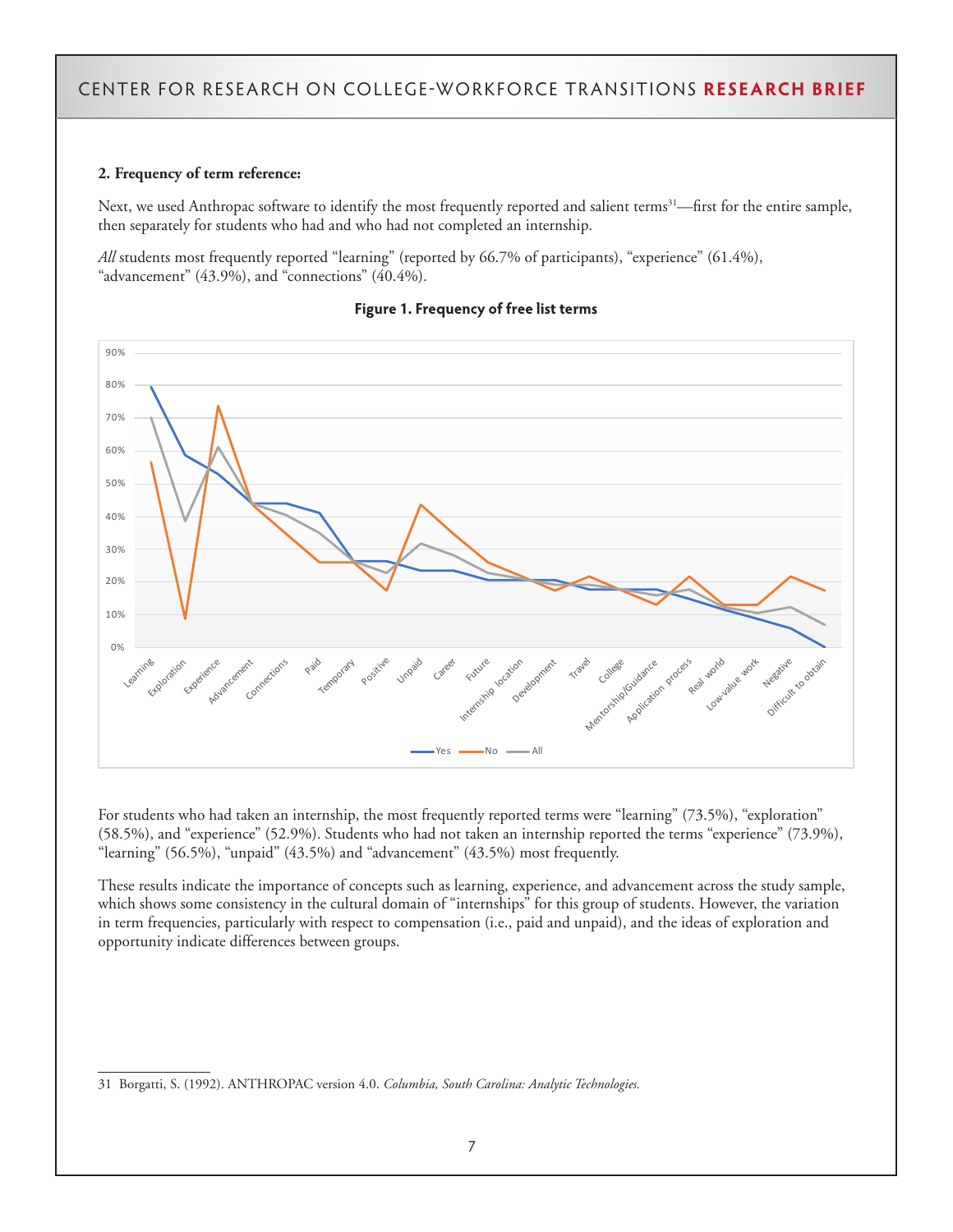#### **2. Frequency of term reference:**

Next, we used Anthropac software to identify the most frequently reported and salient terms<sup>31</sup>—first for the entire sample, then separately for students who had and who had not completed an internship.

*All* students most frequently reported "learning" (reported by 66.7% of participants), "experience" (61.4%), "advancement"  $(43.9\%)$ , and "connections"  $(40.4\%)$ .



#### **Figure 1. Frequency of free list terms**

For students who had taken an internship, the most frequently reported terms were "learning" (73.5%), "exploration" (58.5%), and "experience" (52.9%). Students who had not taken an internship reported the terms "experience" (73.9%), "learning" (56.5%), "unpaid" (43.5%) and "advancement" (43.5%) most frequently.

These results indicate the importance of concepts such as learning, experience, and advancement across the study sample, which shows some consistency in the cultural domain of "internships" for this group of students. However, the variation in term frequencies, particularly with respect to compensation (i.e., paid and unpaid), and the ideas of exploration and opportunity indicate differences between groups.

<sup>31</sup> Borgatti, S. (1992). ANTHROPAC version 4.0. *Columbia, South Carolina: Analytic Technologies.*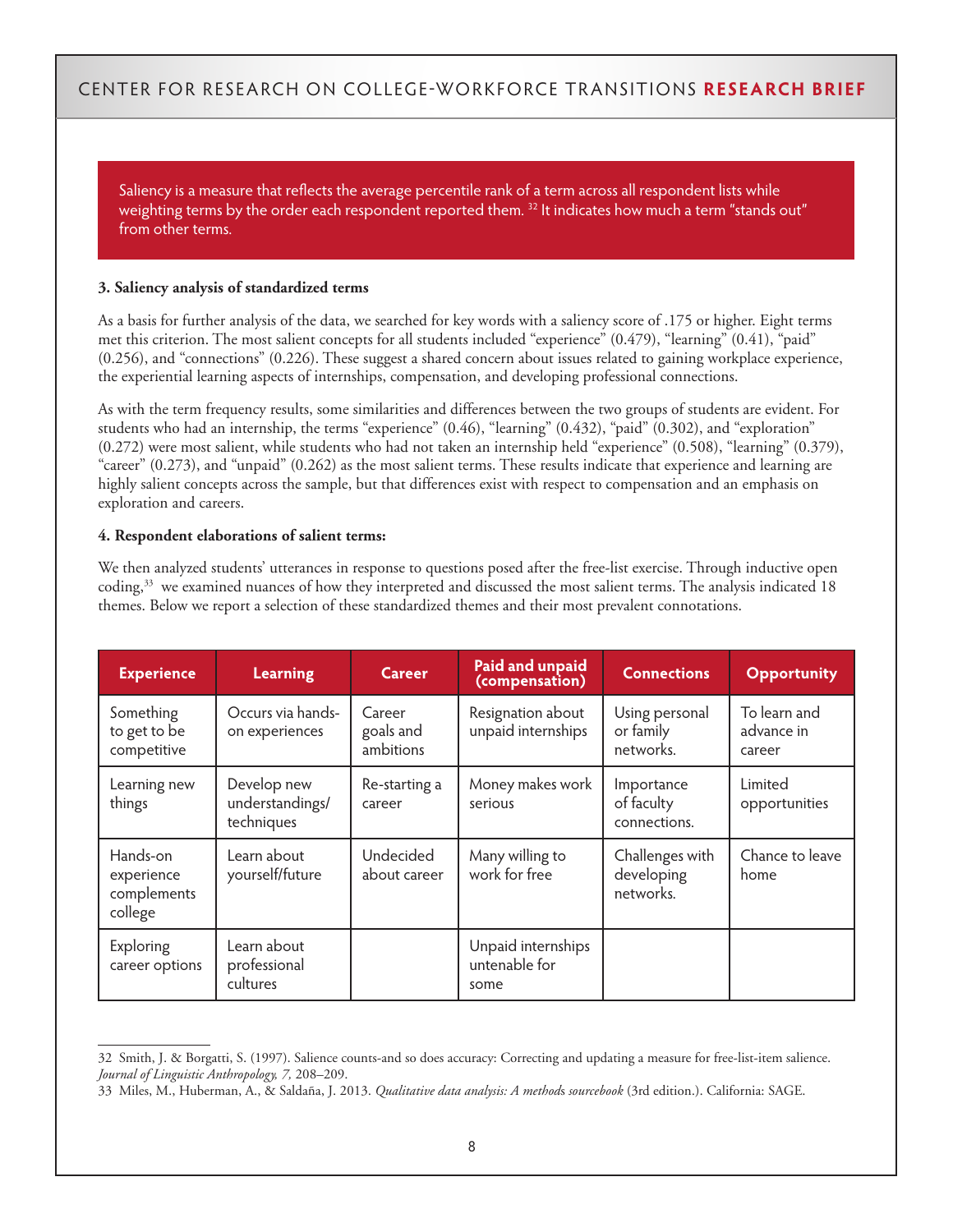Saliency is a measure that reflects the average percentile rank of a term across all respondent lists while weighting terms by the order each respondent reported them.<sup>32</sup> It indicates how much a term "stands out" from other terms.

#### **3. Saliency analysis of standardized terms**

As a basis for further analysis of the data, we searched for key words with a saliency score of .175 or higher. Eight terms met this criterion. The most salient concepts for all students included "experience" (0.479), "learning" (0.41), "paid" (0.256), and "connections" (0.226). These suggest a shared concern about issues related to gaining workplace experience, the experiential learning aspects of internships, compensation, and developing professional connections.

As with the term frequency results, some similarities and differences between the two groups of students are evident. For students who had an internship, the terms "experience" (0.46), "learning" (0.432), "paid" (0.302), and "exploration" (0.272) were most salient, while students who had not taken an internship held "experience" (0.508), "learning" (0.379), "career" (0.273), and "unpaid" (0.262) as the most salient terms. These results indicate that experience and learning are highly salient concepts across the sample, but that differences exist with respect to compensation and an emphasis on exploration and careers.

#### **4. Respondent elaborations of salient terms:**

We then analyzed students' utterances in response to questions posed after the free-list exercise. Through inductive open coding,33 we examined nuances of how they interpreted and discussed the most salient terms. The analysis indicated 18 themes. Below we report a selection of these standardized themes and their most prevalent connotations.

| <b>Experience</b>                                | <b>Learning</b>                              | <b>Career</b>                    | <b>Paid and unpaid</b><br>(compensation)    | <b>Connections</b>                         | <b>Opportunity</b>                   |
|--------------------------------------------------|----------------------------------------------|----------------------------------|---------------------------------------------|--------------------------------------------|--------------------------------------|
| Something<br>to get to be<br>competitive         | Occurs via hands-<br>on experiences          | Career<br>goals and<br>ambitions | Resignation about<br>unpaid internships     | Using personal<br>or family<br>networks.   | To learn and<br>advance in<br>career |
| Learning new<br>things                           | Develop new<br>understandings/<br>techniques | Re-starting a<br>career          | Money makes work<br>serious                 | Importance<br>of faculty<br>connections.   | Limited<br>opportunities             |
| Hands-on<br>experience<br>complements<br>college | Learn about<br>yourself/future               | Undecided<br>about career        | Many willing to<br>work for free            | Challenges with<br>developing<br>networks. | Chance to leave<br>home              |
| Exploring<br>career options                      | Learn about<br>professional<br>cultures      |                                  | Unpaid internships<br>untenable for<br>some |                                            |                                      |

<sup>32</sup> Smith, J. & Borgatti, S. (1997). Salience counts-and so does accuracy: Correcting and updating a measure for free-list-item salience. *Journal of Linguistic Anthropology, 7,* 208–209.

<sup>33</sup> Miles, M., Huberman, A., & Saldaña, J. 2013. *Qualitative data analysis: A method*s *sourcebook* (3rd edition.). California: SAGE.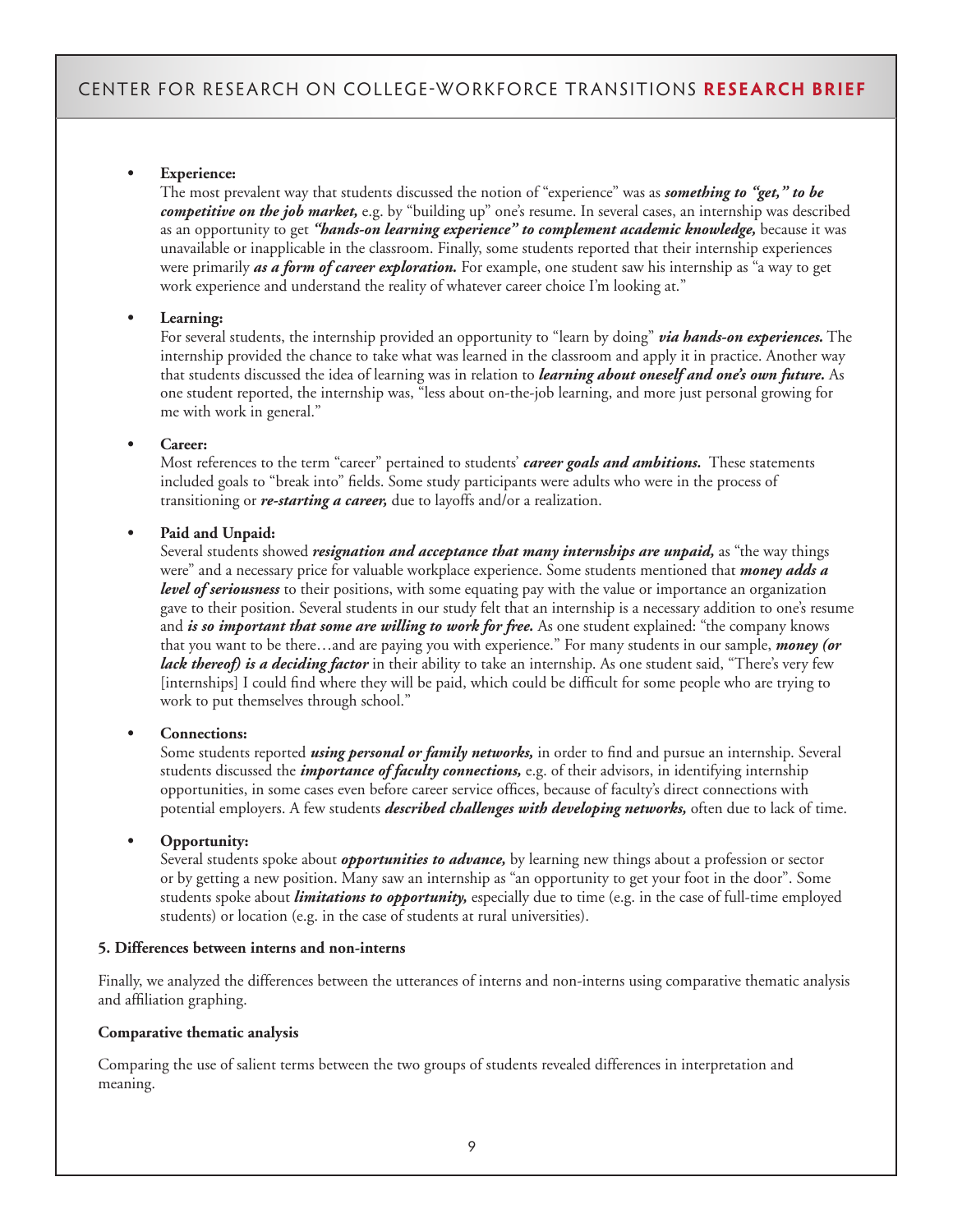#### **• Experience:**

The most prevalent way that students discussed the notion of "experience" was as *something to "get," to be competitive on the job market,* e.g. by "building up" one's resume. In several cases, an internship was described as an opportunity to get "*hands-on learning experience*" to complement academic knowledge, because it was unavailable or inapplicable in the classroom. Finally, some students reported that their internship experiences were primarily *as a form of career exploration.* For example, one student saw his internship as "a way to get work experience and understand the reality of whatever career choice I'm looking at."

#### **• Learning:**

For several students, the internship provided an opportunity to "learn by doing" *via hands-on experiences.* The internship provided the chance to take what was learned in the classroom and apply it in practice. Another way that students discussed the idea of learning was in relation to *learning about oneself and one's own future.* As one student reported, the internship was, "less about on-the-job learning, and more just personal growing for me with work in general."

#### **• Career:**

Most references to the term "career" pertained to students' *career goals and ambitions.* These statements included goals to "break into" fields. Some study participants were adults who were in the process of transitioning or *re-starting a career,* due to layoffs and/or a realization.

#### **• Paid and Unpaid:**

Several students showed *resignation and acceptance that many internships are unpaid,* as "the way things were" and a necessary price for valuable workplace experience. Some students mentioned that *money adds a level of seriousness* to their positions, with some equating pay with the value or importance an organization gave to their position. Several students in our study felt that an internship is a necessary addition to one's resume and *is so important that some are willing to work for free.* As one student explained: "the company knows" that you want to be there…and are paying you with experience." For many students in our sample, *money (or lack thereof) is a deciding factor* in their ability to take an internship. As one student said, "There's very few [internships] I could find where they will be paid, which could be difficult for some people who are trying to work to put themselves through school."

#### **• Connections:**

Some students reported *using personal or family networks,* in order to find and pursue an internship. Several students discussed the *importance of faculty connections,* e.g. of their advisors, in identifying internship opportunities, in some cases even before career service offices, because of faculty's direct connections with potential employers. A few students *described challenges with developing networks,* often due to lack of time.

#### **• Opportunity:**

Several students spoke about *opportunities to advance,* by learning new things about a profession or sector or by getting a new position. Many saw an internship as "an opportunity to get your foot in the door". Some students spoke about *limitations to opportunity,* especially due to time (e.g. in the case of full-time employed students) or location (e.g. in the case of students at rural universities).

#### **5. Differences between interns and non-interns**

Finally, we analyzed the differences between the utterances of interns and non-interns using comparative thematic analysis and affiliation graphing.

#### **Comparative thematic analysis**

Comparing the use of salient terms between the two groups of students revealed differences in interpretation and meaning.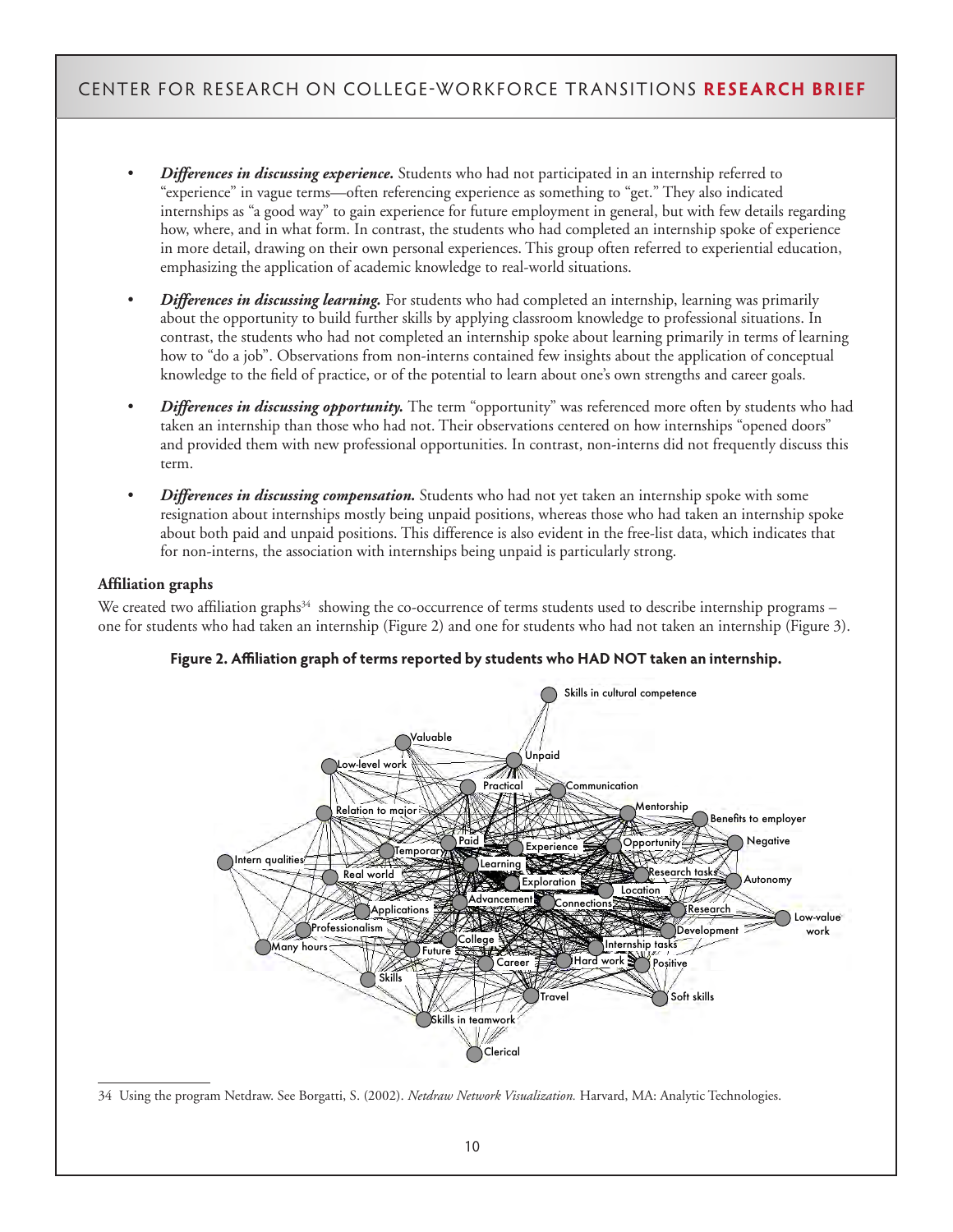- *Differences in discussing experience.* Students who had not participated in an internship referred to "experience" in vague terms—often referencing experience as something to "get." They also indicated internships as "a good way" to gain experience for future employment in general, but with few details regarding how, where, and in what form. In contrast, the students who had completed an internship spoke of experience in more detail, drawing on their own personal experiences. This group often referred to experiential education, emphasizing the application of academic knowledge to real-world situations.
- *Differences in discussing learning.* For students who had completed an internship, learning was primarily about the opportunity to build further skills by applying classroom knowledge to professional situations. In contrast, the students who had not completed an internship spoke about learning primarily in terms of learning how to "do a job". Observations from non-interns contained few insights about the application of conceptual knowledge to the field of practice, or of the potential to learn about one's own strengths and career goals.
- *Differences in discussing opportunity.* The term "opportunity" was referenced more often by students who had taken an internship than those who had not. Their observations centered on how internships "opened doors" and provided them with new professional opportunities. In contrast, non-interns did not frequently discuss this term.
- *Differences in discussing compensation.* Students who had not yet taken an internship spoke with some resignation about internships mostly being unpaid positions, whereas those who had taken an internship spoke about both paid and unpaid positions. This difference is also evident in the free-list data, which indicates that for non-interns, the association with internships being unpaid is particularly strong.

#### **Affiliation graphs**

We created two affiliation graphs $34$  showing the co-occurrence of terms students used to describe internship programs – one for students who had taken an internship (Figure 2) and one for students who had not taken an internship (Figure 3).



**Figure 2. Affiliation graph of terms reported by students who HAD NOT taken an internship.**

<sup>34</sup> Using the program Netdraw. See Borgatti, S. (2002). *Netdraw Network Visualization.* Harvard, MA: Analytic Technologies.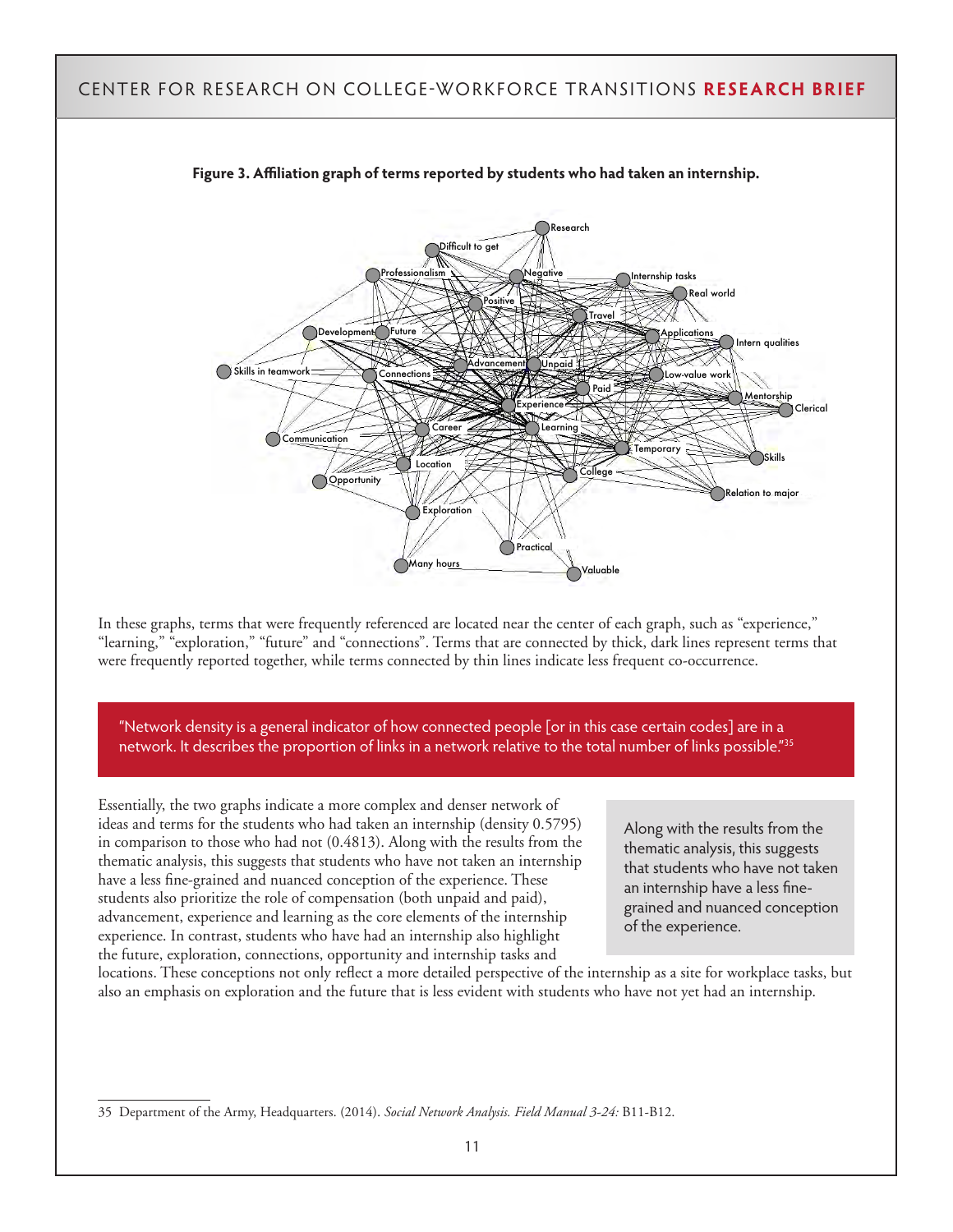

**Figure 3. Affiliation graph of terms reported by students who had taken an internship.**

In these graphs, terms that were frequently referenced are located near the center of each graph, such as "experience," "learning," "exploration," "future" and "connections". Terms that are connected by thick, dark lines represent terms that were frequently reported together, while terms connected by thin lines indicate less frequent co-occurrence.

"Network density is a general indicator of how connected people [or in this case certain codes] are in a network. It describes the proportion of links in a network relative to the total number of links possible."<sup>35</sup>

Essentially, the two graphs indicate a more complex and denser network of ideas and terms for the students who had taken an internship (density 0.5795) in comparison to those who had not (0.4813). Along with the results from the thematic analysis, this suggests that students who have not taken an internship have a less fine-grained and nuanced conception of the experience. These students also prioritize the role of compensation (both unpaid and paid), advancement, experience and learning as the core elements of the internship experience. In contrast, students who have had an internship also highlight the future, exploration, connections, opportunity and internship tasks and

Along with the results from the thematic analysis, this suggests that students who have not taken an internship have a less finegrained and nuanced conception of the experience.

locations. These conceptions not only reflect a more detailed perspective of the internship as a site for workplace tasks, but also an emphasis on exploration and the future that is less evident with students who have not yet had an internship.

<sup>35</sup> Department of the Army, Headquarters. (2014). *Social Network Analysis. Field Manual 3-24:* B11-B12.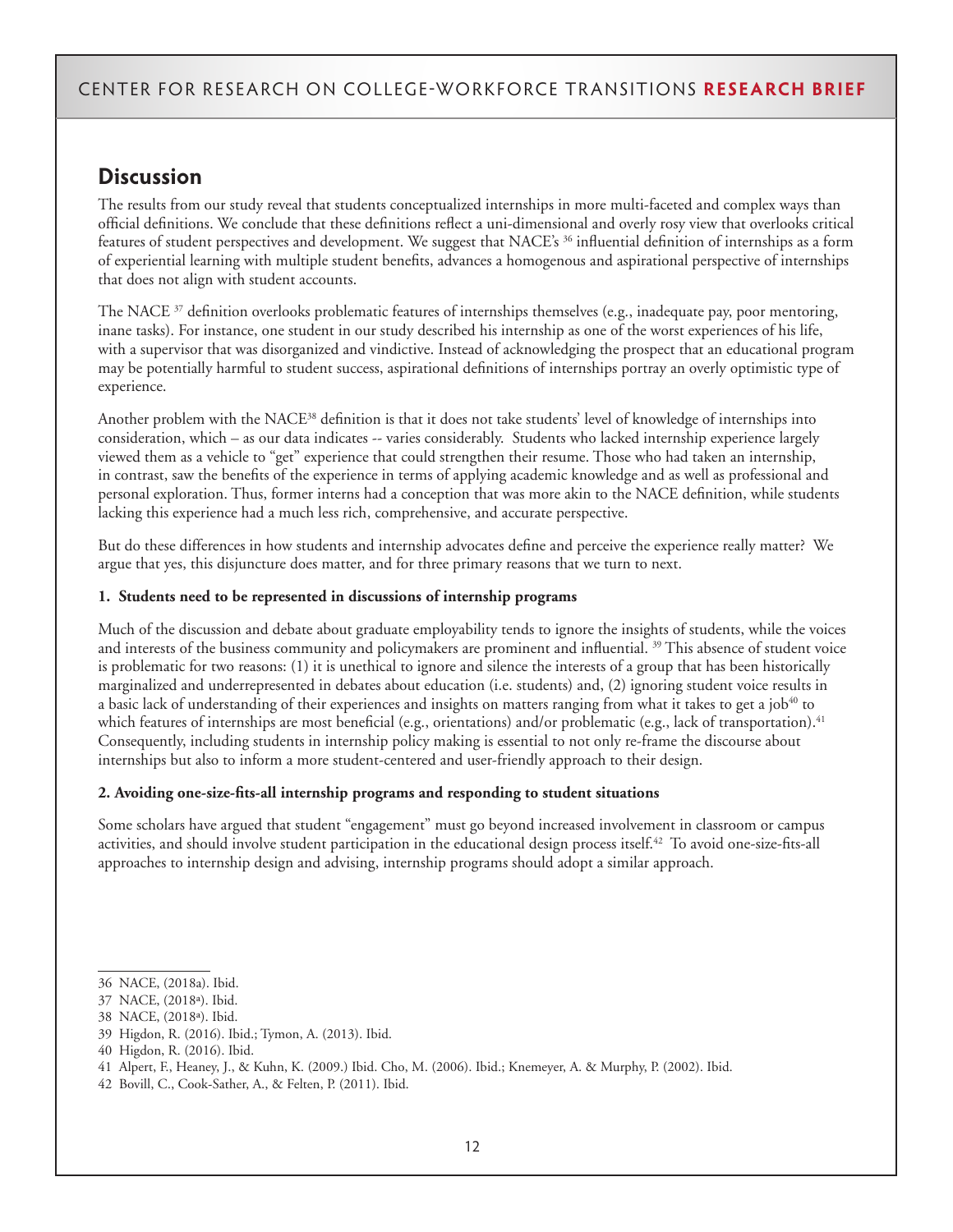# **Discussion**

The results from our study reveal that students conceptualized internships in more multi-faceted and complex ways than official definitions. We conclude that these definitions reflect a uni-dimensional and overly rosy view that overlooks critical features of student perspectives and development. We suggest that NACE's 36 influential definition of internships as a form of experiential learning with multiple student benefits, advances a homogenous and aspirational perspective of internships that does not align with student accounts.

The NACE  $37$  definition overlooks problematic features of internships themselves (e.g., inadequate pay, poor mentoring, inane tasks). For instance, one student in our study described his internship as one of the worst experiences of his life, with a supervisor that was disorganized and vindictive. Instead of acknowledging the prospect that an educational program may be potentially harmful to student success, aspirational definitions of internships portray an overly optimistic type of experience.

Another problem with the NACE38 definition is that it does not take students' level of knowledge of internships into consideration, which – as our data indicates -- varies considerably. Students who lacked internship experience largely viewed them as a vehicle to "get" experience that could strengthen their resume. Those who had taken an internship, in contrast, saw the benefits of the experience in terms of applying academic knowledge and as well as professional and personal exploration. Thus, former interns had a conception that was more akin to the NACE definition, while students lacking this experience had a much less rich, comprehensive, and accurate perspective.

But do these differences in how students and internship advocates define and perceive the experience really matter? We argue that yes, this disjuncture does matter, and for three primary reasons that we turn to next.

#### **1. Students need to be represented in discussions of internship programs**

Much of the discussion and debate about graduate employability tends to ignore the insights of students, while the voices and interests of the business community and policymakers are prominent and influential.<sup>39</sup> This absence of student voice is problematic for two reasons: (1) it is unethical to ignore and silence the interests of a group that has been historically marginalized and underrepresented in debates about education (i.e. students) and, (2) ignoring student voice results in a basic lack of understanding of their experiences and insights on matters ranging from what it takes to get a job<sup>40</sup> to which features of internships are most beneficial (e.g., orientations) and/or problematic (e.g., lack of transportation).<sup>41</sup> Consequently, including students in internship policy making is essential to not only re-frame the discourse about internships but also to inform a more student-centered and user-friendly approach to their design.

#### **2. Avoiding one-size-fits-all internship programs and responding to student situations**

Some scholars have argued that student "engagement" must go beyond increased involvement in classroom or campus activities, and should involve student participation in the educational design process itself.<sup>42</sup> To avoid one-size-fits-all approaches to internship design and advising, internship programs should adopt a similar approach.

<sup>36</sup> NACE, (2018a). Ibid.

<sup>37</sup> NACE, (2018ª). Ibid.

<sup>38</sup> NACE, (2018ª). Ibid.

<sup>39</sup> Higdon, R. (2016). Ibid.; Tymon, A. (2013). Ibid.

<sup>40</sup> Higdon, R. (2016). Ibid.

<sup>41</sup> Alpert, F., Heaney, J., & Kuhn, K. (2009.) Ibid. Cho, M. (2006). Ibid.; Knemeyer, A. & Murphy, P. (2002). Ibid.

<sup>42</sup> Bovill, C., Cook-Sather, A., & Felten, P. (2011). Ibid.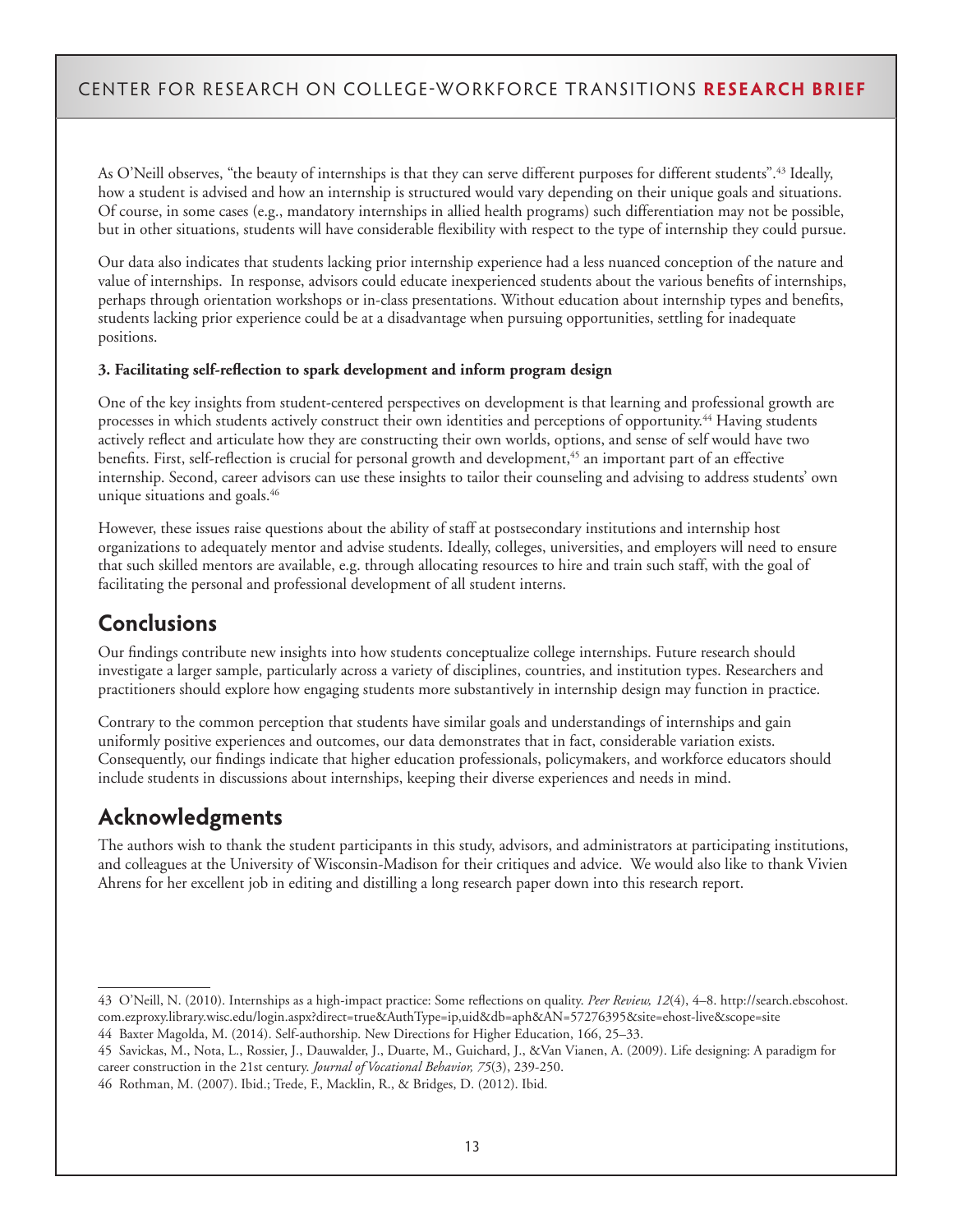As O'Neill observes, "the beauty of internships is that they can serve different purposes for different students".<sup>43</sup> Ideally, how a student is advised and how an internship is structured would vary depending on their unique goals and situations. Of course, in some cases (e.g., mandatory internships in allied health programs) such differentiation may not be possible, but in other situations, students will have considerable flexibility with respect to the type of internship they could pursue.

Our data also indicates that students lacking prior internship experience had a less nuanced conception of the nature and value of internships. In response, advisors could educate inexperienced students about the various benefits of internships, perhaps through orientation workshops or in-class presentations. Without education about internship types and benefits, students lacking prior experience could be at a disadvantage when pursuing opportunities, settling for inadequate positions.

#### **3. Facilitating self-reflection to spark development and inform program design**

One of the key insights from student-centered perspectives on development is that learning and professional growth are processes in which students actively construct their own identities and perceptions of opportunity.44 Having students actively reflect and articulate how they are constructing their own worlds, options, and sense of self would have two benefits. First, self-reflection is crucial for personal growth and development,<sup>45</sup> an important part of an effective internship. Second, career advisors can use these insights to tailor their counseling and advising to address students' own unique situations and goals.<sup>46</sup>

However, these issues raise questions about the ability of staff at postsecondary institutions and internship host organizations to adequately mentor and advise students. Ideally, colleges, universities, and employers will need to ensure that such skilled mentors are available, e.g. through allocating resources to hire and train such staff, with the goal of facilitating the personal and professional development of all student interns.

# **Conclusions**

Our findings contribute new insights into how students conceptualize college internships. Future research should investigate a larger sample, particularly across a variety of disciplines, countries, and institution types. Researchers and practitioners should explore how engaging students more substantively in internship design may function in practice.

Contrary to the common perception that students have similar goals and understandings of internships and gain uniformly positive experiences and outcomes, our data demonstrates that in fact, considerable variation exists. Consequently, our findings indicate that higher education professionals, policymakers, and workforce educators should include students in discussions about internships, keeping their diverse experiences and needs in mind.

# **Acknowledgments**

The authors wish to thank the student participants in this study, advisors, and administrators at participating institutions, and colleagues at the University of Wisconsin-Madison for their critiques and advice. We would also like to thank Vivien Ahrens for her excellent job in editing and distilling a long research paper down into this research report.

<sup>43</sup> O'Neill, N. (2010). Internships as a high-impact practice: Some reflections on quality. *Peer Review, 12*(4), 4–8. http://search.ebscohost. com.ezproxy.library.wisc.edu/login.aspx?direct=true&AuthType=ip,uid&db=aph&AN=57276395&site=ehost-live&scope=site

<sup>44</sup> Baxter Magolda, M. (2014). Self-authorship. New Directions for Higher Education, 166, 25–33.

<sup>45</sup> Savickas, M., Nota, L., Rossier, J., Dauwalder, J., Duarte, M., Guichard, J., &Van Vianen, A. (2009). Life designing: A paradigm for career construction in the 21st century. *Journal of Vocational Behavior, 75*(3), 239-250.

<sup>46</sup> Rothman, M. (2007). Ibid.; Trede, F., Macklin, R., & Bridges, D. (2012). Ibid.